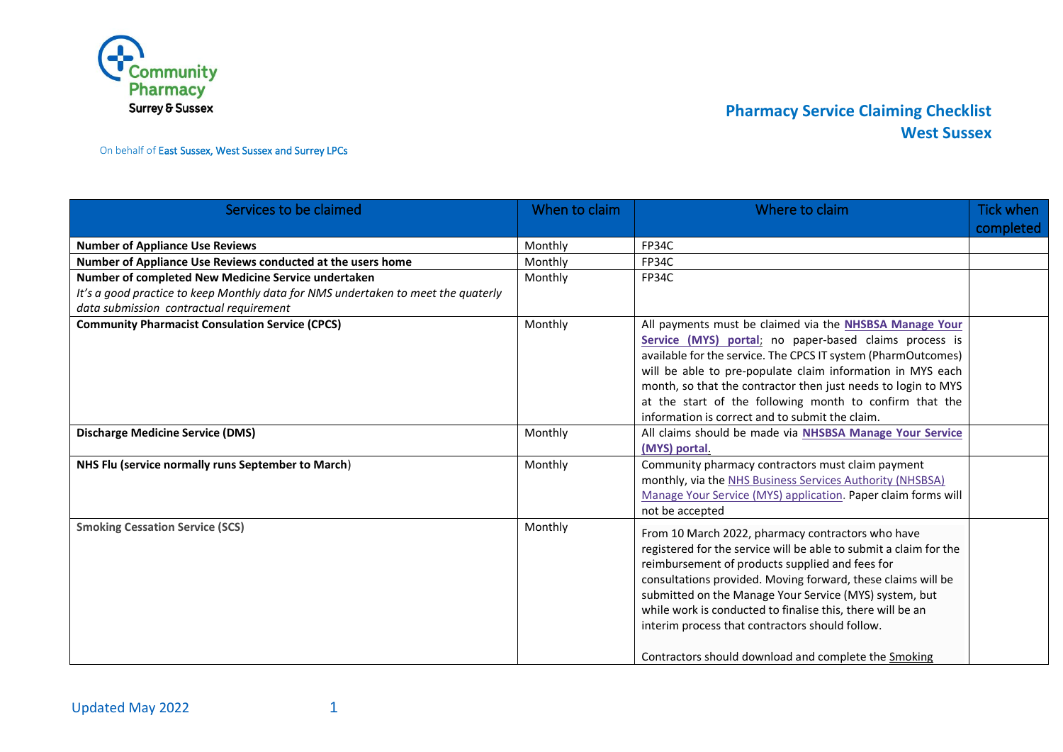

On behalf of East Sussex, West Sussex and Surrey LPCs

| Services to be claimed                                                            | When to claim | Where to claim                                                                                                         | <b>Tick when</b> |
|-----------------------------------------------------------------------------------|---------------|------------------------------------------------------------------------------------------------------------------------|------------------|
|                                                                                   |               |                                                                                                                        | completed        |
| <b>Number of Appliance Use Reviews</b>                                            | Monthly       | FP34C                                                                                                                  |                  |
| Number of Appliance Use Reviews conducted at the users home                       | Monthly       | FP34C                                                                                                                  |                  |
| Number of completed New Medicine Service undertaken                               | Monthly       | FP34C                                                                                                                  |                  |
| It's a good practice to keep Monthly data for NMS undertaken to meet the quaterly |               |                                                                                                                        |                  |
| data submission contractual requirement                                           |               |                                                                                                                        |                  |
| <b>Community Pharmacist Consulation Service (CPCS)</b>                            | Monthly       | All payments must be claimed via the NHSBSA Manage Your                                                                |                  |
|                                                                                   |               | Service (MYS) portal; no paper-based claims process is                                                                 |                  |
|                                                                                   |               | available for the service. The CPCS IT system (PharmOutcomes)                                                          |                  |
|                                                                                   |               | will be able to pre-populate claim information in MYS each                                                             |                  |
|                                                                                   |               | month, so that the contractor then just needs to login to MYS                                                          |                  |
|                                                                                   |               | at the start of the following month to confirm that the                                                                |                  |
|                                                                                   |               | information is correct and to submit the claim.                                                                        |                  |
| <b>Discharge Medicine Service (DMS)</b>                                           | Monthly       | All claims should be made via NHSBSA Manage Your Service                                                               |                  |
|                                                                                   |               | (MYS) portal.                                                                                                          |                  |
| NHS Flu (service normally runs September to March)                                | Monthly       | Community pharmacy contractors must claim payment                                                                      |                  |
|                                                                                   |               | monthly, via the NHS Business Services Authority (NHSBSA)                                                              |                  |
|                                                                                   |               | Manage Your Service (MYS) application. Paper claim forms will                                                          |                  |
|                                                                                   |               | not be accepted                                                                                                        |                  |
| <b>Smoking Cessation Service (SCS)</b>                                            | Monthly       |                                                                                                                        |                  |
|                                                                                   |               | From 10 March 2022, pharmacy contractors who have<br>registered for the service will be able to submit a claim for the |                  |
|                                                                                   |               |                                                                                                                        |                  |
|                                                                                   |               | reimbursement of products supplied and fees for                                                                        |                  |
|                                                                                   |               | consultations provided. Moving forward, these claims will be                                                           |                  |
|                                                                                   |               | submitted on the Manage Your Service (MYS) system, but                                                                 |                  |
|                                                                                   |               | while work is conducted to finalise this, there will be an                                                             |                  |
|                                                                                   |               | interim process that contractors should follow.                                                                        |                  |
|                                                                                   |               | Contractors should download and complete the Smoking                                                                   |                  |
|                                                                                   |               |                                                                                                                        |                  |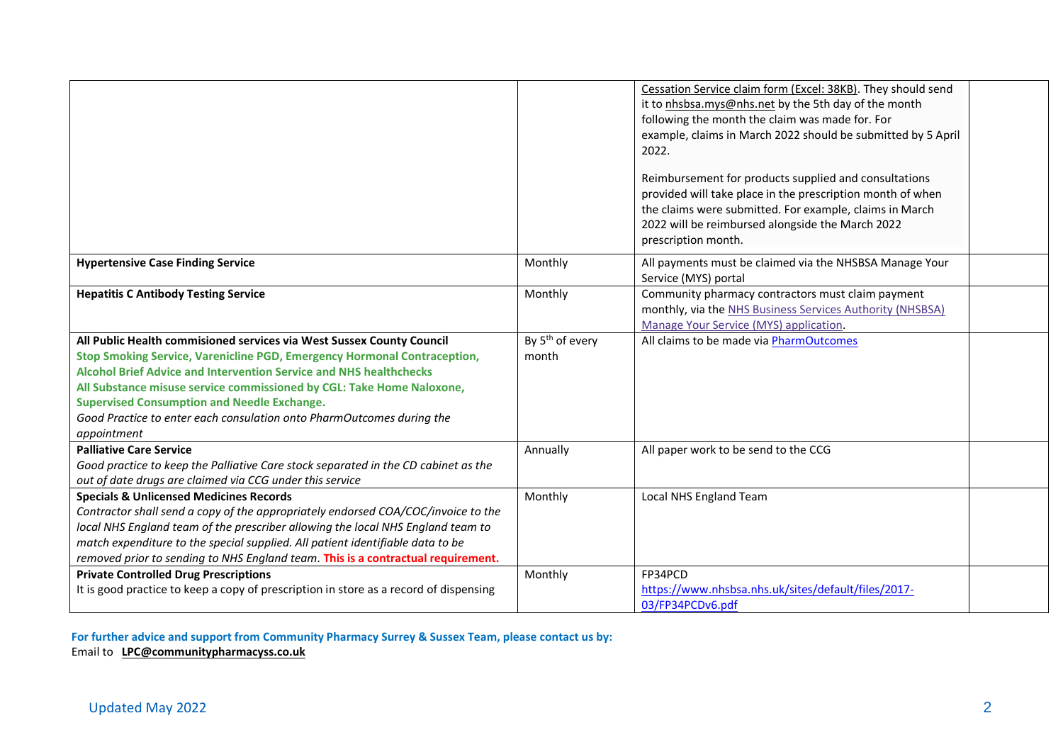|                                                                                                                                                                                                                                                                                                                                                                                                                                                       |                                      | Cessation Service claim form (Excel: 38KB). They should send<br>it to nhsbsa.mys@nhs.net by the 5th day of the month<br>following the month the claim was made for. For<br>example, claims in March 2022 should be submitted by 5 April<br>2022.<br>Reimbursement for products supplied and consultations<br>provided will take place in the prescription month of when<br>the claims were submitted. For example, claims in March<br>2022 will be reimbursed alongside the March 2022<br>prescription month. |  |
|-------------------------------------------------------------------------------------------------------------------------------------------------------------------------------------------------------------------------------------------------------------------------------------------------------------------------------------------------------------------------------------------------------------------------------------------------------|--------------------------------------|---------------------------------------------------------------------------------------------------------------------------------------------------------------------------------------------------------------------------------------------------------------------------------------------------------------------------------------------------------------------------------------------------------------------------------------------------------------------------------------------------------------|--|
| <b>Hypertensive Case Finding Service</b>                                                                                                                                                                                                                                                                                                                                                                                                              | Monthly                              | All payments must be claimed via the NHSBSA Manage Your<br>Service (MYS) portal                                                                                                                                                                                                                                                                                                                                                                                                                               |  |
| <b>Hepatitis C Antibody Testing Service</b>                                                                                                                                                                                                                                                                                                                                                                                                           | Monthly                              | Community pharmacy contractors must claim payment<br>monthly, via the NHS Business Services Authority (NHSBSA)<br>Manage Your Service (MYS) application.                                                                                                                                                                                                                                                                                                                                                      |  |
| All Public Health commisioned services via West Sussex County Council<br>Stop Smoking Service, Varenicline PGD, Emergency Hormonal Contraception,<br><b>Alcohol Brief Advice and Intervention Service and NHS healthchecks</b><br>All Substance misuse service commissioned by CGL: Take Home Naloxone,<br><b>Supervised Consumption and Needle Exchange.</b><br>Good Practice to enter each consulation onto PharmOutcomes during the<br>appointment | By 5 <sup>th</sup> of every<br>month | All claims to be made via PharmOutcomes                                                                                                                                                                                                                                                                                                                                                                                                                                                                       |  |
| <b>Palliative Care Service</b><br>Good practice to keep the Palliative Care stock separated in the CD cabinet as the<br>out of date drugs are claimed via CCG under this service                                                                                                                                                                                                                                                                      | Annually                             | All paper work to be send to the CCG                                                                                                                                                                                                                                                                                                                                                                                                                                                                          |  |
| <b>Specials &amp; Unlicensed Medicines Records</b><br>Contractor shall send a copy of the appropriately endorsed COA/COC/invoice to the<br>local NHS England team of the prescriber allowing the local NHS England team to<br>match expenditure to the special supplied. All patient identifiable data to be<br>removed prior to sending to NHS England team. This is a contractual requirement.                                                      | Monthly                              | Local NHS England Team                                                                                                                                                                                                                                                                                                                                                                                                                                                                                        |  |
| <b>Private Controlled Drug Prescriptions</b><br>It is good practice to keep a copy of prescription in store as a record of dispensing                                                                                                                                                                                                                                                                                                                 | Monthly                              | FP34PCD<br>https://www.nhsbsa.nhs.uk/sites/default/files/2017-<br>03/FP34PCDv6.pdf                                                                                                                                                                                                                                                                                                                                                                                                                            |  |

**For further advice and support from Community Pharmacy Surrey & Sussex Team, please contact us by:**  Email to **[LPC@communitypharmacyss.co.uk](mailto:LPC@communitypharmacyss.co.uk)**